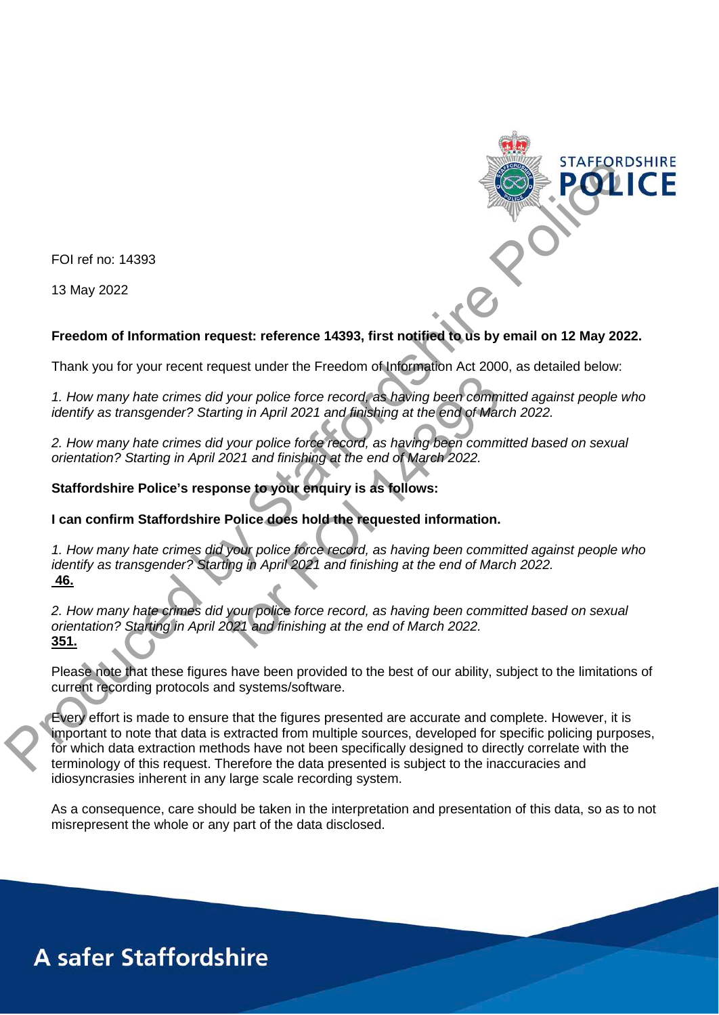

FOI ref no: 14393

13 May 2022

## **Freedom of Information request: reference 14393, first notified to us by email on 12 May 2022.**

Thank you for your recent request under the Freedom of Information Act 2000, as detailed below:

*1. How many hate crimes did your police force record, as having been committed against people who identify as transgender? Starting in April 2021 and finishing at the end of March 2022.*

*2. How many hate crimes did your police force record, as having been committed based on sexual orientation? Starting in April 2021 and finishing at the end of March 2022.*

## **Staffordshire Police's response to your enquiry is as follows:**

**I can confirm Staffordshire Police does hold the requested information.**

*1. How many hate crimes did your police force record, as having been committed against people who identify as transgender? Starting in April 2021 and finishing at the end of March 2022.* **46.** For Formalism when the end of March<br>
Solution in April 2021 and finishing at the end of March<br>
For Folice force record, as having been committer<br>
Folice force record, as having been committer<br>
Solution and finishing at the

*2. How many hate crimes did your police force record, as having been committed based on sexual orientation? Starting in April 2021 and finishing at the end of March 2022.* **351.**

Please note that these figures have been provided to the best of our ability, subject to the limitations of current recording protocols and systems/software.

Every effort is made to ensure that the figures presented are accurate and complete. However, it is important to note that data is extracted from multiple sources, developed for specific policing purposes, for which data extraction methods have not been specifically designed to directly correlate with the terminology of this request. Therefore the data presented is subject to the inaccuracies and idiosyncrasies inherent in any large scale recording system. FOLI of no: 14393<br>
The COLUMBA extraction request: reference 14393, first motivation Act 2002.<br>
The COLUMBA extraction of the content request indet the Freedom of information Act 2003, as detailed below:<br>
1. How many hate

As a consequence, care should be taken in the interpretation and presentation of this data, so as to not misrepresent the whole or any part of the data disclosed.

## **A safer Staffordshire**